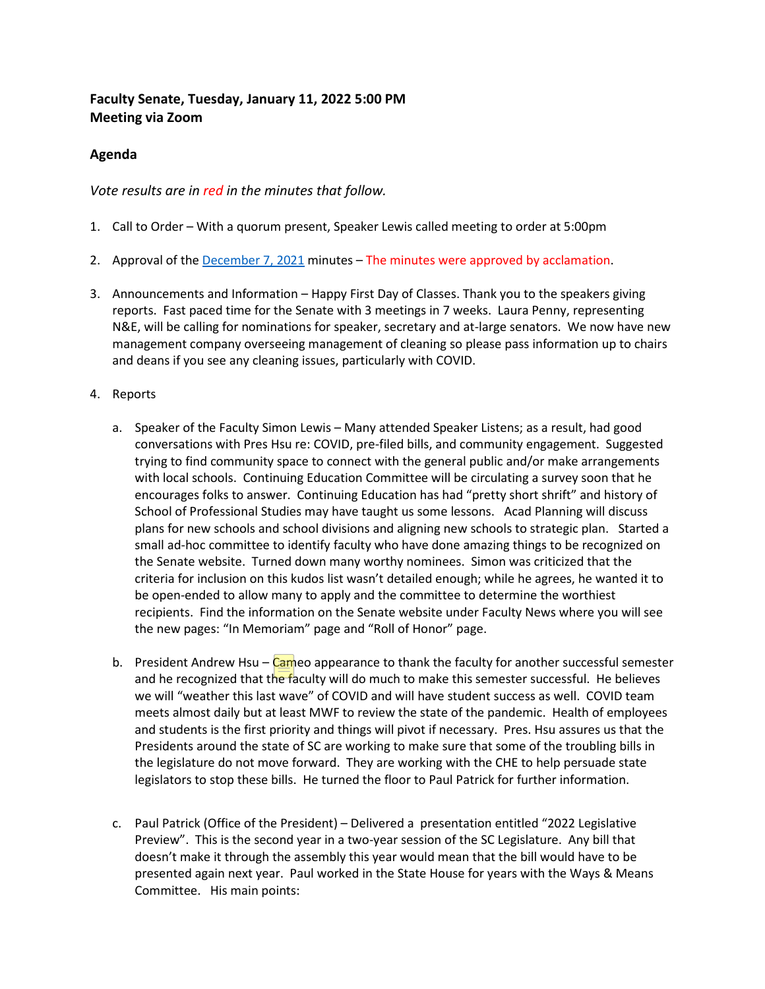# **Faculty Senate, Tuesday, January 11, 2022 5:00 PM Meeting via Zoom**

## **Agenda**

## *Vote results are in red in the minutes that follow.*

- 1. Call to Order With a quorum present, Speaker Lewis called meeting to order at 5:00pm
- 2. Approval of the [December 7, 2021](https://facultysenate.cofc.edu/documents/archives/faculty-senate-minutes/minutes_2021_12_07.pdf) minutes The minutes were approved by acclamation.
- 3. Announcements and Information Happy First Day of Classes. Thank you to the speakers giving reports. Fast paced time for the Senate with 3 meetings in 7 weeks. Laura Penny, representing N&E, will be calling for nominations for speaker, secretary and at-large senators. We now have new management company overseeing management of cleaning so please pass information up to chairs and deans if you see any cleaning issues, particularly with COVID.
- 4. Reports
	- a. Speaker of the Faculty Simon Lewis Many attended Speaker Listens; as a result, had good conversations with Pres Hsu re: COVID, pre-filed bills, and community engagement. Suggested trying to find community space to connect with the general public and/or make arrangements with local schools. Continuing Education Committee will be circulating a survey soon that he encourages folks to answer. Continuing Education has had "pretty short shrift" and history of School of Professional Studies may have taught us some lessons. Acad Planning will discuss plans for new schools and school divisions and aligning new schools to strategic plan. Started a small ad-hoc committee to identify faculty who have done amazing things to be recognized on the Senate website. Turned down many worthy nominees. Simon was criticized that the criteria for inclusion on this kudos list wasn't detailed enough; while he agrees, he wanted it to be open-ended to allow many to apply and the committee to determine the worthiest recipients. Find the information on the Senate website under Faculty News where you will see the new pages: "In Memoriam" page and "Roll of Honor" page.
	- b. President Andrew Hsu Cameo appearance to thank the faculty for another successful semester and he recognized that the faculty will do much to make this semester successful. He believes we will "weather this last wave" of COVID and will have student success as well. COVID team meets almost daily but at least MWF to review the state of the pandemic. Health of employees and students is the first priority and things will pivot if necessary. Pres. Hsu assures us that the Presidents around the state of SC are working to make sure that some of the troubling bills in the legislature do not move forward. They are working with the CHE to help persuade state legislators to stop these bills. He turned the floor to Paul Patrick for further information.
	- c. Paul Patrick (Office of the President) Delivered a presentation entitled "2022 Legislative Preview". This is the second year in a two-year session of the SC Legislature. Any bill that doesn't make it through the assembly this year would mean that the bill would have to be presented again next year. Paul worked in the State House for years with the Ways & Means Committee. His main points: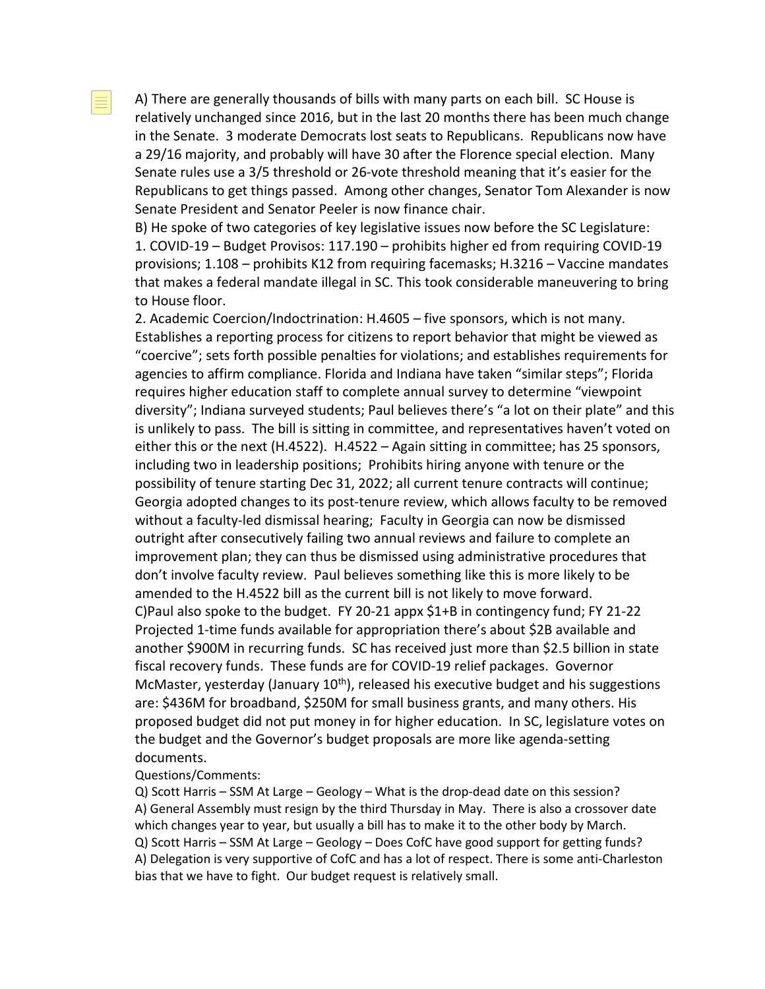A) There are generally thousands of bills with many parts on each bill. SC House is relatively unchanged since 2016, but in the last 20 months there has been much change in the Senate. 3 moderate Democrats lost seats to Republicans. Republicans now have a 29/16 majority, and probably will have 30 after the Florence special election. Many Senate rules use a 3/5 threshold or 26-vote threshold meaning that it's easier for the Republicans to get things passed. Among other changes, Senator Tom Alexander is now Senate President and Senator Peeler is now finance chair.

B) He spoke of two categories of key legislative issues now before the SC Legislature: 1. COVID-19 – Budget Provisos: 117.190 – prohibits higher ed from requiring COVID-19 provisions; 1.108 – prohibits K12 from requiring facemasks; H.3216 – Vaccine mandates that makes a federal mandate illegal in SC. This took considerable maneuvering to bring to House floor.

2. Academic Coercion/Indoctrination: H.4605 – five sponsors, which is not many. Establishes a reporting process for citizens to report behavior that might be viewed as "coercive"; sets forth possible penalties for violations; and establishes requirements for agencies to affirm compliance. Florida and Indiana have taken "similar steps"; Florida requires higher education staff to complete annual survey to determine "viewpoint diversity"; Indiana surveyed students; Paul believes there's "a lot on their plate" and this is unlikely to pass. The bill is sitting in committee, and representatives haven't voted on either this or the next (H.4522). H.4522 – Again sitting in committee; has 25 sponsors, including two in leadership positions; Prohibits hiring anyone with tenure or the possibility of tenure starting Dec 31, 2022; all current tenure contracts will continue; Georgia adopted changes to its post-tenure review, which allows faculty to be removed without a faculty-led dismissal hearing; Faculty in Georgia can now be dismissed outright after consecutively failing two annual reviews and failure to complete an improvement plan; they can thus be dismissed using administrative procedures that don't involve faculty review. Paul believes something like this is more likely to be amended to the H.4522 bill as the current bill is not likely to move forward. C)Paul also spoke to the budget. FY 20-21 appx \$1+B in contingency fund; FY 21-22 Projected 1-time funds available for appropriation there's about \$2B available and another \$900M in recurring funds. SC has received just more than \$2.5 billion in state fiscal recovery funds. These funds are for COVID-19 relief packages. Governor McMaster, yesterday (January  $10<sup>th</sup>$ ), released his executive budget and his suggestions are: \$436M for broadband, \$250M for small business grants, and many others. His proposed budget did not put money in for higher education. In SC, legislature votes on the budget and the Governor's budget proposals are more like agenda-setting documents.

#### Questions/Comments:

Q) Scott Harris – SSM At Large – Geology – What is the drop-dead date on this session? A) General Assembly must resign by the third Thursday in May. There is also a crossover date which changes year to year, but usually a bill has to make it to the other body by March. Q) Scott Harris – SSM At Large – Geology – Does CofC have good support for getting funds? A) Delegation is very supportive of CofC and has a lot of respect. There is some anti-Charleston bias that we have to fight. Our budget request is relatively small.

目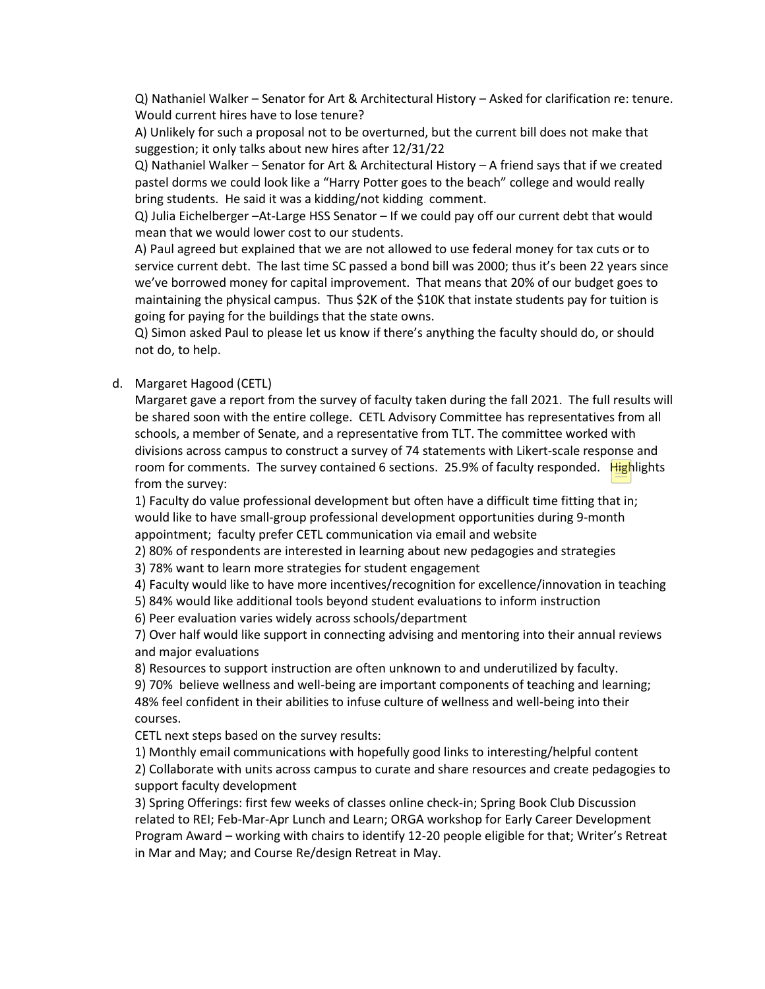Q) Nathaniel Walker – Senator for Art & Architectural History – Asked for clarification re: tenure. Would current hires have to lose tenure?

A) Unlikely for such a proposal not to be overturned, but the current bill does not make that suggestion; it only talks about new hires after 12/31/22

Q) Nathaniel Walker – Senator for Art & Architectural History – A friend says that if we created pastel dorms we could look like a "Harry Potter goes to the beach" college and would really bring students. He said it was a kidding/not kidding comment.

Q) Julia Eichelberger –At-Large HSS Senator – If we could pay off our current debt that would mean that we would lower cost to our students.

A) Paul agreed but explained that we are not allowed to use federal money for tax cuts or to service current debt. The last time SC passed a bond bill was 2000; thus it's been 22 years since we've borrowed money for capital improvement. That means that 20% of our budget goes to maintaining the physical campus. Thus \$2K of the \$10K that instate students pay for tuition is going for paying for the buildings that the state owns.

Q) Simon asked Paul to please let us know if there's anything the faculty should do, or should not do, to help.

#### d. Margaret Hagood (CETL)

Margaret gave a report from the survey of faculty taken during the fall 2021. The full results will be shared soon with the entire college. CETL Advisory Committee has representatives from all schools, a member of Senate, and a representative from TLT. The committee worked with divisions across campus to construct a survey of 74 statements with Likert-scale response and room for comments. The survey contained 6 sections. 25.9% of faculty responded. Highlights from the survey:

1) Faculty do value professional development but often have a difficult time fitting that in; would like to have small-group professional development opportunities during 9-month appointment; faculty prefer CETL communication via email and website

2) 80% of respondents are interested in learning about new pedagogies and strategies

3) 78% want to learn more strategies for student engagement

4) Faculty would like to have more incentives/recognition for excellence/innovation in teaching

5) 84% would like additional tools beyond student evaluations to inform instruction

6) Peer evaluation varies widely across schools/department

7) Over half would like support in connecting advising and mentoring into their annual reviews and major evaluations

8) Resources to support instruction are often unknown to and underutilized by faculty.

9) 70% believe wellness and well-being are important components of teaching and learning; 48% feel confident in their abilities to infuse culture of wellness and well-being into their courses.

CETL next steps based on the survey results:

1) Monthly email communications with hopefully good links to interesting/helpful content

2) Collaborate with units across campus to curate and share resources and create pedagogies to support faculty development

3) Spring Offerings: first few weeks of classes online check-in; Spring Book Club Discussion related to REI; Feb-Mar-Apr Lunch and Learn; ORGA workshop for Early Career Development Program Award – working with chairs to identify 12-20 people eligible for that; Writer's Retreat in Mar and May; and Course Re/design Retreat in May.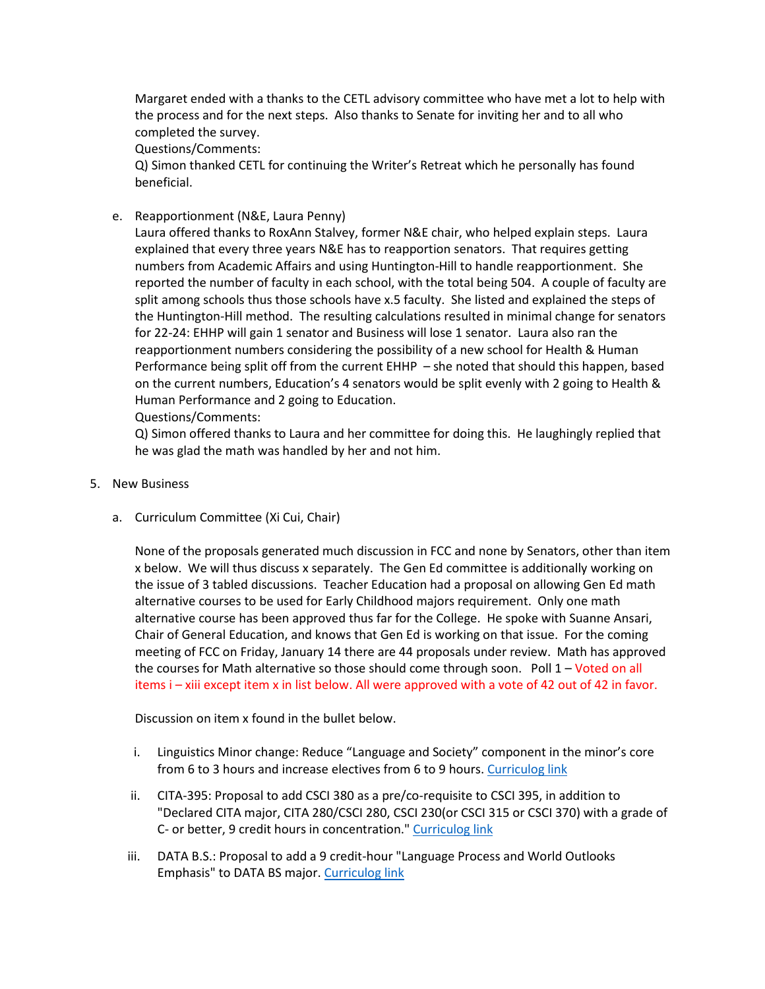Margaret ended with a thanks to the CETL advisory committee who have met a lot to help with the process and for the next steps. Also thanks to Senate for inviting her and to all who completed the survey.

Questions/Comments:

Q) Simon thanked CETL for continuing the Writer's Retreat which he personally has found beneficial.

e. Reapportionment (N&E, Laura Penny)

Laura offered thanks to RoxAnn Stalvey, former N&E chair, who helped explain steps. Laura explained that every three years N&E has to reapportion senators. That requires getting numbers from Academic Affairs and using Huntington-Hill to handle reapportionment. She reported the number of faculty in each school, with the total being 504. A couple of faculty are split among schools thus those schools have x.5 faculty. She listed and explained the steps of the Huntington-Hill method. The resulting calculations resulted in minimal change for senators for 22-24: EHHP will gain 1 senator and Business will lose 1 senator. Laura also ran the reapportionment numbers considering the possibility of a new school for Health & Human Performance being split off from the current EHHP – she noted that should this happen, based on the current numbers, Education's 4 senators would be split evenly with 2 going to Health & Human Performance and 2 going to Education.

Questions/Comments:

Q) Simon offered thanks to Laura and her committee for doing this. He laughingly replied that he was glad the math was handled by her and not him.

- 5. New Business
	- a. Curriculum Committee (Xi Cui, Chair)

None of the proposals generated much discussion in FCC and none by Senators, other than item x below. We will thus discuss x separately. The Gen Ed committee is additionally working on the issue of 3 tabled discussions. Teacher Education had a proposal on allowing Gen Ed math alternative courses to be used for Early Childhood majors requirement. Only one math alternative course has been approved thus far for the College. He spoke with Suanne Ansari, Chair of General Education, and knows that Gen Ed is working on that issue. For the coming meeting of FCC on Friday, January 14 there are 44 proposals under review. Math has approved the courses for Math alternative so those should come through soon. Poll 1 – Voted on all items i – xiii except item x in list below. All were approved with a vote of 42 out of 42 in favor.

Discussion on item x found in the bullet below.

- i. Linguistics Minor change: Reduce "Language and Society" component in the minor's core from 6 to 3 hours and increase electives from 6 to 9 hours. [Curriculog link](https://cofc.curriculog.com/proposal:3596/form)
- ii. CITA-395: Proposal to add CSCI 380 as a pre/co-requisite to CSCI 395, in addition to "Declared CITA major, CITA 280/CSCI 280, CSCI 230(or CSCI 315 or CSCI 370) with a grade of C- or better, 9 credit hours in concentration.[" Curriculog link](https://cofc.curriculog.com/proposal:3619/form)
- iii. DATA B.S.: Proposal to add a 9 credit-hour "Language Process and World Outlooks Emphasis" to DATA BS major[. Curriculog link](https://cofc.curriculog.com/proposal:3560/form)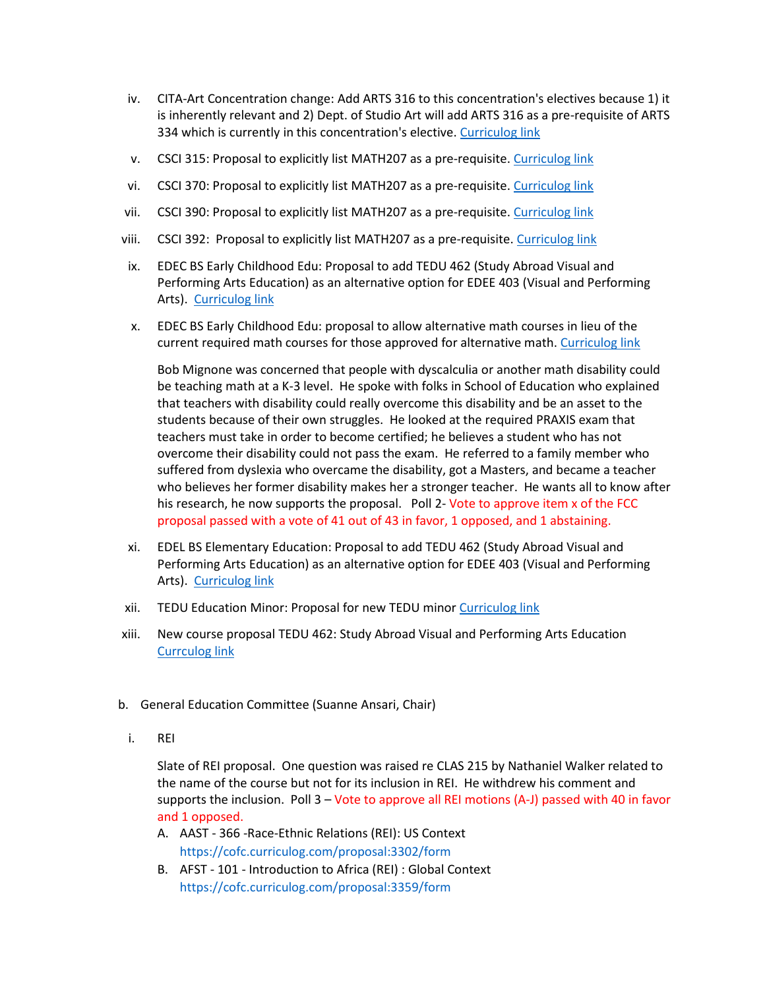- iv. CITA-Art Concentration change: Add ARTS 316 to this concentration's electives because 1) it is inherently relevant and 2) Dept. of Studio Art will add ARTS 316 as a pre-requisite of ARTS 334 which is currently in this concentration's elective. [Curriculog link](https://cofc.curriculog.com/proposal:3674/form)
- v. CSCI 315: Proposal to explicitly list MATH207 as a pre-requisite. [Curriculog link](https://cofc.curriculog.com/proposal:3613/form)
- vi. CSCI 370: Proposal to explicitly list MATH207 as a pre-requisite. [Curriculog link](https://cofc.curriculog.com/proposal:3614/form)
- vii. CSCI 390: Proposal to explicitly list MATH207 as a pre-requisite. [Curriculog link](https://cofc.curriculog.com/proposal:3618/form)
- viii. CSCI 392: Proposal to explicitly list MATH207 as a pre-requisite[. Curriculog link](https://cofc.curriculog.com/proposal:3617/form)
- ix. EDEC BS Early Childhood Edu: Proposal to add TEDU 462 (Study Abroad Visual and Performing Arts Education) as an alternative option for EDEE 403 (Visual and Performing Arts). [Curriculog link](https://cofc.curriculog.com/proposal:3607/form)
- x. EDEC BS Early Childhood Edu: proposal to allow alternative math courses in lieu of the current required math courses for those approved for alternative math[. Curriculog link](https://cofc.curriculog.com/proposal:3684/form)

Bob Mignone was concerned that people with dyscalculia or another math disability could be teaching math at a K-3 level. He spoke with folks in School of Education who explained that teachers with disability could really overcome this disability and be an asset to the students because of their own struggles. He looked at the required PRAXIS exam that teachers must take in order to become certified; he believes a student who has not overcome their disability could not pass the exam. He referred to a family member who suffered from dyslexia who overcame the disability, got a Masters, and became a teacher who believes her former disability makes her a stronger teacher. He wants all to know after his research, he now supports the proposal. Poll 2- Vote to approve item x of the FCC proposal passed with a vote of 41 out of 43 in favor, 1 opposed, and 1 abstaining.

- xi. EDEL BS Elementary Education: Proposal to add TEDU 462 (Study Abroad Visual and Performing Arts Education) as an alternative option for EDEE 403 (Visual and Performing Arts). [Curriculog link](https://cofc.curriculog.com/proposal:3606/form)
- xii. TEDU Education Minor: Proposal for new TEDU minor [Curriculog link](https://cofc.curriculog.com/proposal:3650/form)
- xiii. New course proposal TEDU 462: Study Abroad Visual and Performing Arts Education [Currculog link](https://cofc.curriculog.com/proposal:3601/form)
- b. General Education Committee (Suanne Ansari, Chair)
	- i. REI

Slate of REI proposal. One question was raised re CLAS 215 by Nathaniel Walker related to the name of the course but not for its inclusion in REI. He withdrew his comment and supports the inclusion. Poll 3 – Vote to approve all REI motions (A-J) passed with 40 in favor and 1 opposed.

- A. AAST 366 -Race-Ethnic Relations (REI): US Context <https://cofc.curriculog.com/proposal:3302/form>
- B. AFST 101 Introduction to Africa (REI) : Global Context <https://cofc.curriculog.com/proposal:3359/form>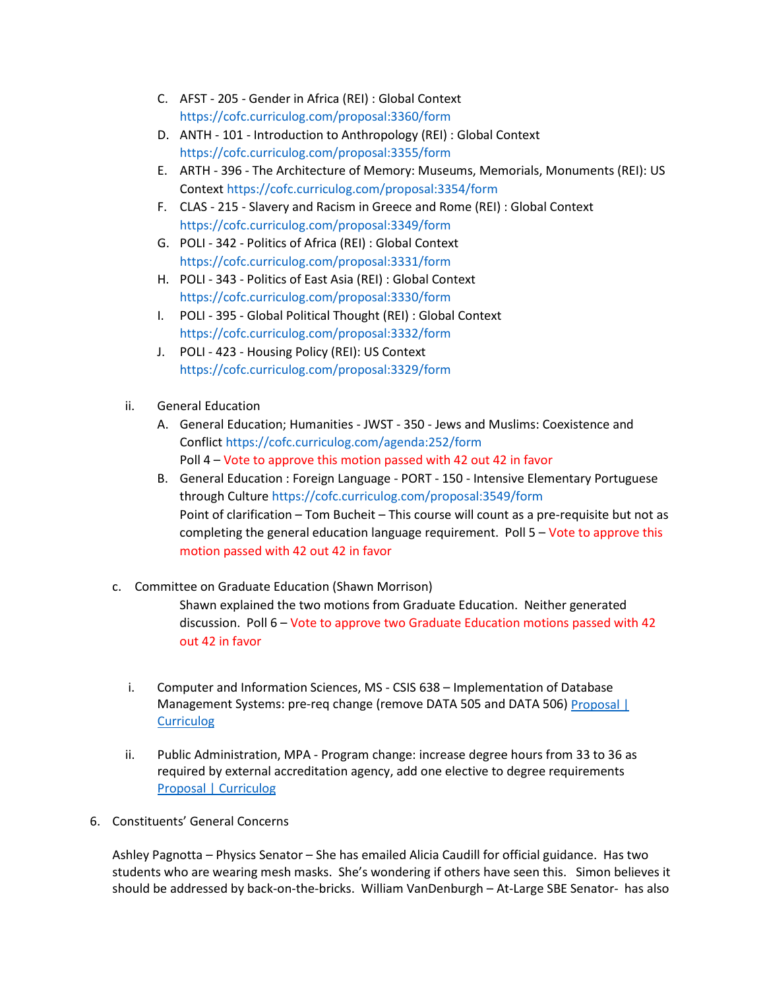- C. AFST 205 Gender in Africa (REI) : Global Context <https://cofc.curriculog.com/proposal:3360/form>
- D. ANTH 101 Introduction to Anthropology (REI) : Global Context <https://cofc.curriculog.com/proposal:3355/form>
- E. ARTH 396 The Architecture of Memory: Museums, Memorials, Monuments (REI): US Contex[t https://cofc.curriculog.com/proposal:3354/form](https://cofc.curriculog.com/proposal:3354/form)
- F. CLAS 215 Slavery and Racism in Greece and Rome (REI) : Global Context <https://cofc.curriculog.com/proposal:3349/form>
- G. POLI 342 Politics of Africa (REI) : Global Context <https://cofc.curriculog.com/proposal:3331/form>
- H. POLI 343 Politics of East Asia (REI) : Global Context <https://cofc.curriculog.com/proposal:3330/form>
- I. POLI 395 Global Political Thought (REI) : Global Context <https://cofc.curriculog.com/proposal:3332/form>
- J. POLI 423 Housing Policy (REI): US Context <https://cofc.curriculog.com/proposal:3329/form>
- ii. General Education
	- A. General Education; Humanities JWST 350 Jews and Muslims: Coexistence and Conflic[t https://cofc.curriculog.com/agenda:252/form](https://cofc.curriculog.com/agenda:252/form) Poll 4 – Vote to approve this motion passed with 42 out 42 in favor
	- B. General Education : Foreign Language PORT 150 Intensive Elementary Portuguese through Culture<https://cofc.curriculog.com/proposal:3549/form> Point of clarification – Tom Bucheit – This course will count as a pre-requisite but not as completing the general education language requirement. Poll 5 – Vote to approve this motion passed with 42 out 42 in favor
- c. Committee on Graduate Education (Shawn Morrison)

Shawn explained the two motions from Graduate Education. Neither generated discussion. Poll 6 – Vote to approve two Graduate Education motions passed with 42 out 42 in favor

- i. Computer and Information Sciences, MS CSIS 638 Implementation of Database Management Systems: pre-req change (remove DATA 505 and DATA 506) Proposal [ **[Curriculog](https://cofc.curriculog.com/proposal:3592/form)**
- ii. Public Administration, MPA Program change: increase degree hours from 33 to 36 as required by external accreditation agency, add one elective to degree requirements [Proposal | Curriculog](https://cofc.curriculog.com/proposal:3543/form)
- 6. Constituents' General Concerns

Ashley Pagnotta – Physics Senator – She has emailed Alicia Caudill for official guidance. Has two students who are wearing mesh masks. She's wondering if others have seen this. Simon believes it should be addressed by back-on-the-bricks. William VanDenburgh – At-Large SBE Senator- has also